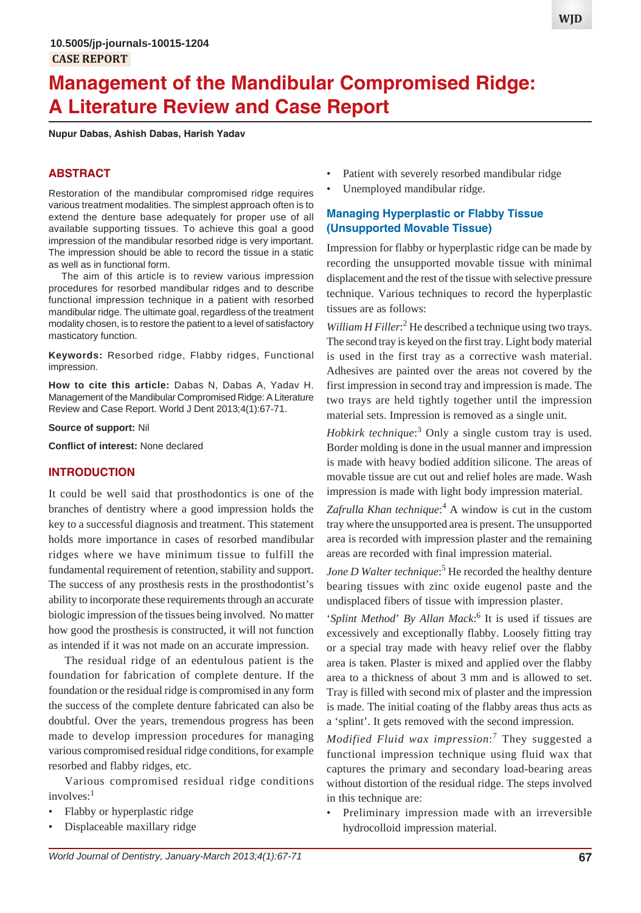# **Management of the Mandibular Compromised Ridge: A Literature Review and Case Report**

**Nupur Dabas, Ashish Dabas, Harish Yadav**

#### **ABSTRACT**

Restoration of the mandibular compromised ridge requires various treatment modalities. The simplest approach often is to extend the denture base adequately for proper use of all available supporting tissues. To achieve this goal a good impression of the mandibular resorbed ridge is very important. The impression should be able to record the tissue in a static as well as in functional form.

The aim of this article is to review various impression procedures for resorbed mandibular ridges and to describe functional impression technique in a patient with resorbed mandibular ridge. The ultimate goal, regardless of the treatment modality chosen, is to restore the patient to a level of satisfactory masticatory function.

**Keywords:** Resorbed ridge, Flabby ridges, Functional impression.

**How to cite this article:** Dabas N, Dabas A, Yadav H. Management of the Mandibular Compromised Ridge: A Literature Review and Case Report. World J Dent 2013;4(1):67-71.

#### **Source of support:** Nil

**Conflict of interest:** None declared

#### **INTRODUCTION**

It could be well said that prosthodontics is one of the branches of dentistry where a good impression holds the key to a successful diagnosis and treatment. This statement holds more importance in cases of resorbed mandibular ridges where we have minimum tissue to fulfill the fundamental requirement of retention, stability and support. The success of any prosthesis rests in the prosthodontist's ability to incorporate these requirements through an accurate biologic impression of the tissues being involved. No matter how good the prosthesis is constructed, it will not function as intended if it was not made on an accurate impression.

The residual ridge of an edentulous patient is the foundation for fabrication of complete denture. If the foundation or the residual ridge is compromised in any form the success of the complete denture fabricated can also be doubtful. Over the years, tremendous progress has been made to develop impression procedures for managing various compromised residual ridge conditions, for example resorbed and flabby ridges, etc.

Various compromised residual ridge conditions  $involves:$ <sup>1</sup>

- Flabby or hyperplastic ridge
- Displaceable maxillary ridge
- Patient with severely resorbed mandibular ridge
- Unemployed mandibular ridge.

## **Managing Hyperplastic or Flabby Tissue (Unsupported Movable Tissue)**

Impression for flabby or hyperplastic ridge can be made by recording the unsupported movable tissue with minimal displacement and the rest of the tissue with selective pressure technique. Various techniques to record the hyperplastic tissues are as follows:

William H Filler:<sup>2</sup> He described a technique using two trays. The second tray is keyed on the first tray. Light body material is used in the first tray as a corrective wash material. Adhesives are painted over the areas not covered by the first impression in second tray and impression is made. The two trays are held tightly together until the impression material sets. Impression is removed as a single unit.

*Hobkirk technique*: 3 Only a single custom tray is used. Border molding is done in the usual manner and impression is made with heavy bodied addition silicone. The areas of movable tissue are cut out and relief holes are made. Wash impression is made with light body impression material.

Zafrulla Khan technique:<sup>4</sup> A window is cut in the custom tray where the unsupported area is present. The unsupported area is recorded with impression plaster and the remaining areas are recorded with final impression material.

Jone D Walter technique:<sup>5</sup> He recorded the healthy denture bearing tissues with zinc oxide eugenol paste and the undisplaced fibers of tissue with impression plaster.

'Splint Method' By Allan Mack:<sup>6</sup> It is used if tissues are excessively and exceptionally flabby. Loosely fitting tray or a special tray made with heavy relief over the flabby area is taken. Plaster is mixed and applied over the flabby area to a thickness of about 3 mm and is allowed to set. Tray is filled with second mix of plaster and the impression is made. The initial coating of the flabby areas thus acts as a 'splint'. It gets removed with the second impression.

*Modified Fluid wax impression*: 7 They suggested a functional impression technique using fluid wax that captures the primary and secondary load-bearing areas without distortion of the residual ridge. The steps involved in this technique are:

• Preliminary impression made with an irreversible hydrocolloid impression material.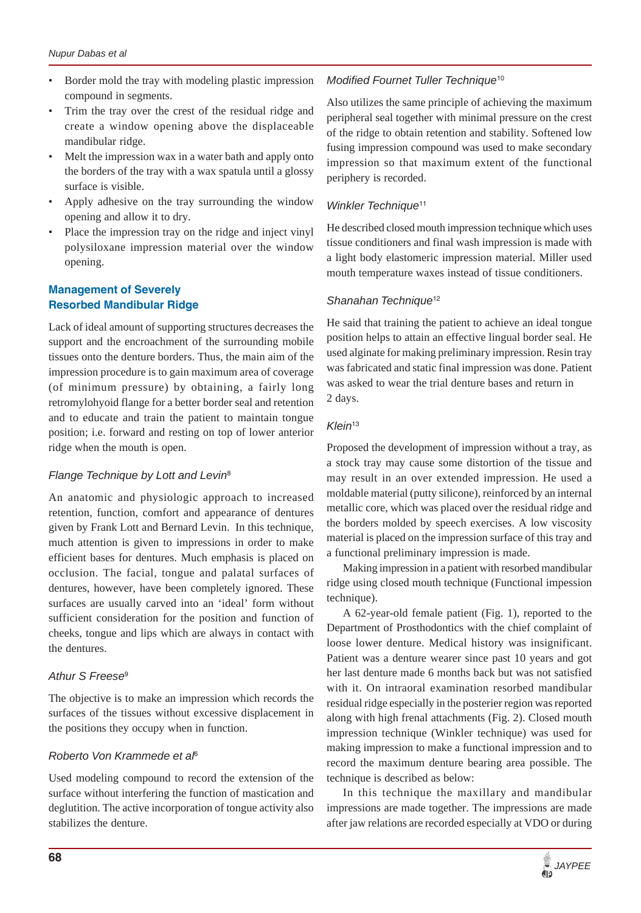- Border mold the tray with modeling plastic impression compound in segments.
- Trim the tray over the crest of the residual ridge and create a window opening above the displaceable mandibular ridge.
- Melt the impression wax in a water bath and apply onto the borders of the tray with a wax spatula until a glossy surface is visible.
- Apply adhesive on the tray surrounding the window opening and allow it to dry.
- Place the impression tray on the ridge and inject vinyl polysiloxane impression material over the window opening.

# **Management of Severely Resorbed Mandibular Ridge**

Lack of ideal amount of supporting structures decreases the support and the encroachment of the surrounding mobile tissues onto the denture borders. Thus, the main aim of the impression procedure is to gain maximum area of coverage (of minimum pressure) by obtaining, a fairly long retromylohyoid flange for a better border seal and retention and to educate and train the patient to maintain tongue position; i.e. forward and resting on top of lower anterior ridge when the mouth is open.

## *Flange Technique by Lott and Levin*<sup>8</sup>

An anatomic and physiologic approach to increased retention, function, comfort and appearance of dentures given by Frank Lott and Bernard Levin. In this technique, much attention is given to impressions in order to make efficient bases for dentures. Much emphasis is placed on occlusion. The facial, tongue and palatal surfaces of dentures, however, have been completely ignored. These surfaces are usually carved into an 'ideal' form without sufficient consideration for the position and function of cheeks, tongue and lips which are always in contact with the dentures.

# *Athur S Freese*<sup>9</sup>

The objective is to make an impression which records the surfaces of the tissues without excessive displacement in the positions they occupy when in function.

## *Roberto Von Krammede et al*<sup>6</sup>

Used modeling compound to record the extension of the surface without interfering the function of mastication and deglutition. The active incorporation of tongue activity also stabilizes the denture.

# *Modified Fournet Tuller Technique*<sup>10</sup>

Also utilizes the same principle of achieving the maximum peripheral seal together with minimal pressure on the crest of the ridge to obtain retention and stability. Softened low fusing impression compound was used to make secondary impression so that maximum extent of the functional periphery is recorded.

# *Winkler Technique*<sup>11</sup>

He described closed mouth impression technique which uses tissue conditioners and final wash impression is made with a light body elastomeric impression material. Miller used mouth temperature waxes instead of tissue conditioners.

# *Shanahan Technique*<sup>12</sup>

He said that training the patient to achieve an ideal tongue position helps to attain an effective lingual border seal. He used alginate for making preliminary impression. Resin tray was fabricated and static final impression was done. Patient was asked to wear the trial denture bases and return in 2 days.

# *Klein*<sup>13</sup>

Proposed the development of impression without a tray, as a stock tray may cause some distortion of the tissue and may result in an over extended impression. He used a moldable material (putty silicone), reinforced by an internal metallic core, which was placed over the residual ridge and the borders molded by speech exercises. A low viscosity material is placed on the impression surface of this tray and a functional preliminary impression is made.

Making impression in a patient with resorbed mandibular ridge using closed mouth technique (Functional impession technique).

A 62-year-old female patient (Fig. 1), reported to the Department of Prosthodontics with the chief complaint of loose lower denture. Medical history was insignificant. Patient was a denture wearer since past 10 years and got her last denture made 6 months back but was not satisfied with it. On intraoral examination resorbed mandibular residual ridge especially in the posterier region was reported along with high frenal attachments (Fig. 2). Closed mouth impression technique (Winkler technique) was used for making impression to make a functional impression and to record the maximum denture bearing area possible. The technique is described as below:

In this technique the maxillary and mandibular impressions are made together. The impressions are made after jaw relations are recorded especially at VDO or during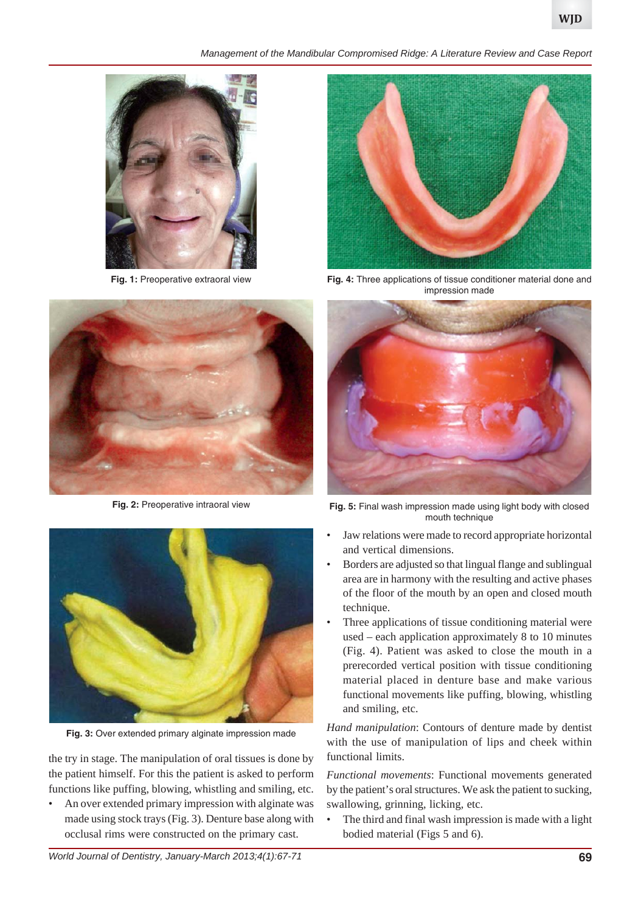*Management of the Mandibular Compromised Ridge: A Literature Review and Case Report*



**Fig. 1:** Preoperative extraoral view



**Fig. 2:** Preoperative intraoral view



**Fig. 3:** Over extended primary alginate impression made

the try in stage. The manipulation of oral tissues is done by the patient himself. For this the patient is asked to perform functions like puffing, blowing, whistling and smiling, etc.

• An over extended primary impression with alginate was made using stock trays (Fig. 3). Denture base along with occlusal rims were constructed on the primary cast.



**Fig. 4:** Three applications of tissue conditioner material done and impression made



**Fig. 5:** Final wash impression made using light body with closed mouth technique

- Jaw relations were made to record appropriate horizontal and vertical dimensions.
- Borders are adjusted so that lingual flange and sublingual area are in harmony with the resulting and active phases of the floor of the mouth by an open and closed mouth technique.
- Three applications of tissue conditioning material were used – each application approximately 8 to 10 minutes (Fig. 4). Patient was asked to close the mouth in a prerecorded vertical position with tissue conditioning material placed in denture base and make various functional movements like puffing, blowing, whistling and smiling, etc.

*Hand manipulation*: Contours of denture made by dentist with the use of manipulation of lips and cheek within functional limits.

*Functional movements*: Functional movements generated by the patient's oral structures. We ask the patient to sucking, swallowing, grinning, licking, etc.

• The third and final wash impression is made with a light bodied material (Figs 5 and 6).

*World Journal of Dentistry, January-March 2013;4(1):67-71* **69**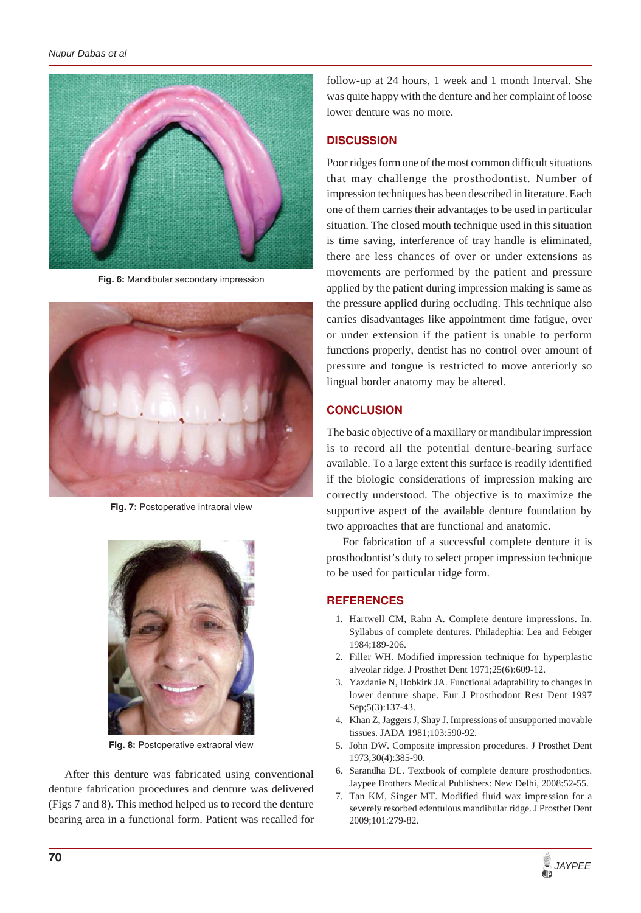

**Fig. 6:** Mandibular secondary impression



**Fig. 7:** Postoperative intraoral view



**Fig. 8:** Postoperative extraoral view

After this denture was fabricated using conventional denture fabrication procedures and denture was delivered (Figs 7 and 8). This method helped us to record the denture bearing area in a functional form. Patient was recalled for follow-up at 24 hours, 1 week and 1 month Interval. She was quite happy with the denture and her complaint of loose lower denture was no more.

#### **DISCUSSION**

Poor ridges form one of the most common difficult situations that may challenge the prosthodontist. Number of impression techniques has been described in literature. Each one of them carries their advantages to be used in particular situation. The closed mouth technique used in this situation is time saving, interference of tray handle is eliminated, there are less chances of over or under extensions as movements are performed by the patient and pressure applied by the patient during impression making is same as the pressure applied during occluding. This technique also carries disadvantages like appointment time fatigue, over or under extension if the patient is unable to perform functions properly, dentist has no control over amount of pressure and tongue is restricted to move anteriorly so lingual border anatomy may be altered.

#### **CONCLUSION**

The basic objective of a maxillary or mandibular impression is to record all the potential denture-bearing surface available. To a large extent this surface is readily identified if the biologic considerations of impression making are correctly understood. The objective is to maximize the supportive aspect of the available denture foundation by two approaches that are functional and anatomic.

For fabrication of a successful complete denture it is prosthodontist's duty to select proper impression technique to be used for particular ridge form.

#### **REFERENCES**

- 1. Hartwell CM, Rahn A. Complete denture impressions. In. Syllabus of complete dentures. Philadephia: Lea and Febiger 1984;189-206.
- 2. Filler WH. Modified impression technique for hyperplastic alveolar ridge. J Prosthet Dent 1971;25(6):609-12.
- 3. Yazdanie N, Hobkirk JA. Functional adaptability to changes in lower denture shape. Eur J Prosthodont Rest Dent 1997 Sep;5(3):137-43.
- 4. Khan Z, Jaggers J, Shay J. Impressions of unsupported movable tissues. JADA 1981;103:590-92.
- 5. John DW. Composite impression procedures. J Prosthet Dent 1973;30(4):385-90.
- 6. Sarandha DL. Textbook of complete denture prosthodontics. Jaypee Brothers Medical Publishers: New Delhi, 2008:52-55.
- 7. Tan KM, Singer MT. Modified fluid wax impression for a severely resorbed edentulous mandibular ridge. J Prosthet Dent 2009;101:279-82.